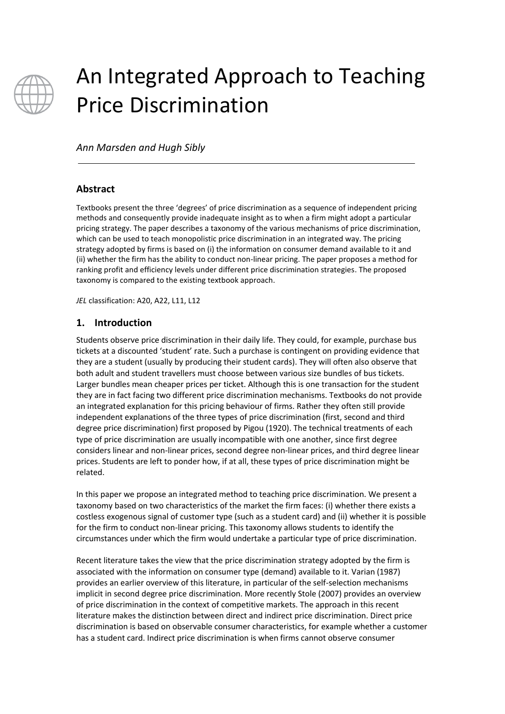

# An Integrated Approach to Teaching Price Discrimination

*Ann Marsden and Hugh Sibly*

## **Abstract**

Textbooks present the three 'degrees' of price discrimination as a sequence of independent pricing methods and consequently provide inadequate insight as to when a firm might adopt a particular pricing strategy. The paper describes a taxonomy of the various mechanisms of price discrimination, which can be used to teach monopolistic price discrimination in an integrated way. The pricing strategy adopted by firms is based on (i) the information on consumer demand available to it and (ii) whether the firm has the ability to conduct non-linear pricing. The paper proposes a method for ranking profit and efficiency levels under different price discrimination strategies. The proposed taxonomy is compared to the existing textbook approach.

*JEL* classification: A20, A22, L11, L12

# **1. Introduction**

Students observe price discrimination in their daily life. They could, for example, purchase bus tickets at a discounted 'student' rate. Such a purchase is contingent on providing evidence that they are a student (usually by producing their student cards). They will often also observe that both adult and student travellers must choose between various size bundles of bus tickets. Larger bundles mean cheaper prices per ticket. Although this is one transaction for the student they are in fact facing two different price discrimination mechanisms. Textbooks do not provide an integrated explanation for this pricing behaviour of firms. Rather they often still provide independent explanations of the three types of price discrimination (first, second and third degree price discrimination) first proposed by Pigou (1920). The technical treatments of each type of price discrimination are usually incompatible with one another, since first degree considers linear and non-linear prices, second degree non-linear prices, and third degree linear prices. Students are left to ponder how, if at all, these types of price discrimination might be related.

In this paper we propose an integrated method to teaching price discrimination. We present a taxonomy based on two characteristics of the market the firm faces: (i) whether there exists a costless exogenous signal of customer type (such as a student card) and (ii) whether it is possible for the firm to conduct non-linear pricing. This taxonomy allows students to identify the circumstances under which the firm would undertake a particular type of price discrimination.

Recent literature takes the view that the price discrimination strategy adopted by the firm is associated with the information on consumer type (demand) available to it. Varian (1987) provides an earlier overview of this literature, in particular of the self-selection mechanisms implicit in second degree price discrimination. More recently Stole (2007) provides an overview of price discrimination in the context of competitive markets. The approach in this recent literature makes the distinction between direct and indirect price discrimination. Direct price discrimination is based on observable consumer characteristics, for example whether a customer has a student card. Indirect price discrimination is when firms cannot observe consumer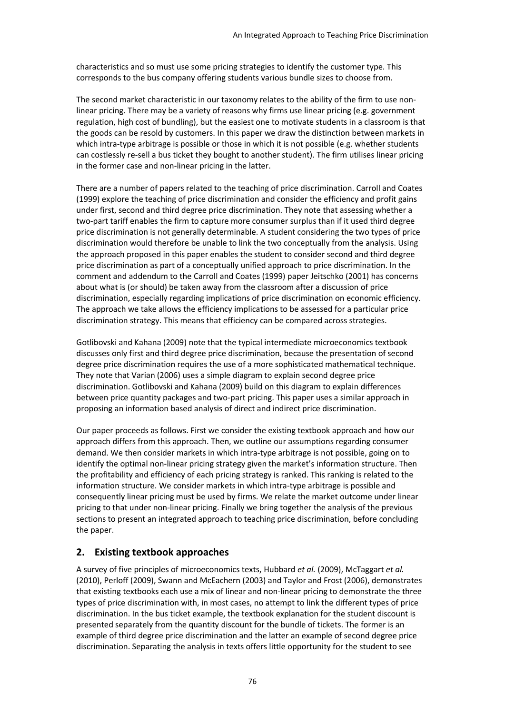characteristics and so must use some pricing strategies to identify the customer type. This corresponds to the bus company offering students various bundle sizes to choose from.

The second market characteristic in our taxonomy relates to the ability of the firm to use nonlinear pricing. There may be a variety of reasons why firms use linear pricing (e.g. government regulation, high cost of bundling), but the easiest one to motivate students in a classroom is that the goods can be resold by customers. In this paper we draw the distinction between markets in which intra-type arbitrage is possible or those in which it is not possible (e.g. whether students can costlessly re-sell a bus ticket they bought to another student). The firm utilises linear pricing in the former case and non-linear pricing in the latter.

There are a number of papers related to the teaching of price discrimination. Carroll and Coates (1999) explore the teaching of price discrimination and consider the efficiency and profit gains under first, second and third degree price discrimination. They note that assessing whether a two-part tariff enables the firm to capture more consumer surplus than if it used third degree price discrimination is not generally determinable. A student considering the two types of price discrimination would therefore be unable to link the two conceptually from the analysis. Using the approach proposed in this paper enables the student to consider second and third degree price discrimination as part of a conceptually unified approach to price discrimination. In the comment and addendum to the Carroll and Coates (1999) paper Jeitschko (2001) has concerns about what is (or should) be taken away from the classroom after a discussion of price discrimination, especially regarding implications of price discrimination on economic efficiency. The approach we take allows the efficiency implications to be assessed for a particular price discrimination strategy. This means that efficiency can be compared across strategies.

Gotlibovski and Kahana (2009) note that the typical intermediate microeconomics textbook discusses only first and third degree price discrimination, because the presentation of second degree price discrimination requires the use of a more sophisticated mathematical technique. They note that Varian (2006) uses a simple diagram to explain second degree price discrimination. Gotlibovski and Kahana (2009) build on this diagram to explain differences between price quantity packages and two-part pricing. This paper uses a similar approach in proposing an information based analysis of direct and indirect price discrimination.

Our paper proceeds as follows. First we consider the existing textbook approach and how our approach differs from this approach. Then, we outline our assumptions regarding consumer demand. We then consider markets in which intra-type arbitrage is not possible, going on to identify the optimal non-linear pricing strategy given the market's information structure. Then the profitability and efficiency of each pricing strategy is ranked. This ranking is related to the information structure. We consider markets in which intra-type arbitrage is possible and consequently linear pricing must be used by firms. We relate the market outcome under linear pricing to that under non-linear pricing. Finally we bring together the analysis of the previous sections to present an integrated approach to teaching price discrimination, before concluding the paper.

# **2. Existing textbook approaches**

A survey of five principles of microeconomics texts, Hubbard *et al.* (2009), McTaggart *et al.*  (2010), Perloff (2009), Swann and McEachern (2003) and Taylor and Frost (2006), demonstrates that existing textbooks each use a mix of linear and non-linear pricing to demonstrate the three types of price discrimination with, in most cases, no attempt to link the different types of price discrimination. In the bus ticket example, the textbook explanation for the student discount is presented separately from the quantity discount for the bundle of tickets. The former is an example of third degree price discrimination and the latter an example of second degree price discrimination. Separating the analysis in texts offers little opportunity for the student to see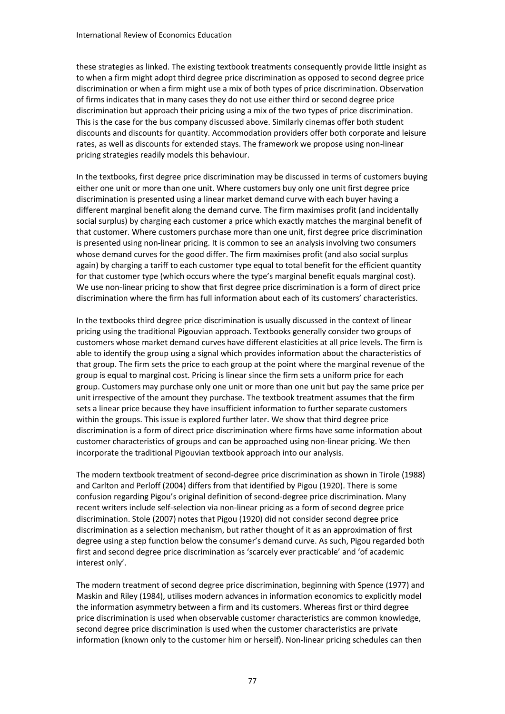these strategies as linked. The existing textbook treatments consequently provide little insight as to when a firm might adopt third degree price discrimination as opposed to second degree price discrimination or when a firm might use a mix of both types of price discrimination. Observation of firms indicates that in many cases they do not use either third or second degree price discrimination but approach their pricing using a mix of the two types of price discrimination. This is the case for the bus company discussed above. Similarly cinemas offer both student discounts and discounts for quantity. Accommodation providers offer both corporate and leisure rates, as well as discounts for extended stays. The framework we propose using non-linear pricing strategies readily models this behaviour.

In the textbooks, first degree price discrimination may be discussed in terms of customers buying either one unit or more than one unit. Where customers buy only one unit first degree price discrimination is presented using a linear market demand curve with each buyer having a different marginal benefit along the demand curve. The firm maximises profit (and incidentally social surplus) by charging each customer a price which exactly matches the marginal benefit of that customer. Where customers purchase more than one unit, first degree price discrimination is presented using non-linear pricing. It is common to see an analysis involving two consumers whose demand curves for the good differ. The firm maximises profit (and also social surplus again) by charging a tariff to each customer type equal to total benefit for the efficient quantity for that customer type (which occurs where the type's marginal benefit equals marginal cost). We use non-linear pricing to show that first degree price discrimination is a form of direct price discrimination where the firm has full information about each of its customers' characteristics.

In the textbooks third degree price discrimination is usually discussed in the context of linear pricing using the traditional Pigouvian approach. Textbooks generally consider two groups of customers whose market demand curves have different elasticities at all price levels. The firm is able to identify the group using a signal which provides information about the characteristics of that group. The firm sets the price to each group at the point where the marginal revenue of the group is equal to marginal cost. Pricing is linear since the firm sets a uniform price for each group. Customers may purchase only one unit or more than one unit but pay the same price per unit irrespective of the amount they purchase. The textbook treatment assumes that the firm sets a linear price because they have insufficient information to further separate customers within the groups. This issue is explored further later. We show that third degree price discrimination is a form of direct price discrimination where firms have some information about customer characteristics of groups and can be approached using non-linear pricing. We then incorporate the traditional Pigouvian textbook approach into our analysis.

The modern textbook treatment of second-degree price discrimination as shown in Tirole (1988) and Carlton and Perloff (2004) differs from that identified by Pigou (1920). There is some confusion regarding Pigou's original definition of second-degree price discrimination. Many recent writers include self-selection via non-linear pricing as a form of second degree price discrimination. Stole (2007) notes that Pigou (1920) did not consider second degree price discrimination as a selection mechanism, but rather thought of it as an approximation of first degree using a step function below the consumer's demand curve. As such, Pigou regarded both first and second degree price discrimination as 'scarcely ever practicable' and 'of academic interest only'.

The modern treatment of second degree price discrimination, beginning with Spence (1977) and Maskin and Riley (1984), utilises modern advances in information economics to explicitly model the information asymmetry between a firm and its customers. Whereas first or third degree price discrimination is used when observable customer characteristics are common knowledge, second degree price discrimination is used when the customer characteristics are private information (known only to the customer him or herself). Non-linear pricing schedules can then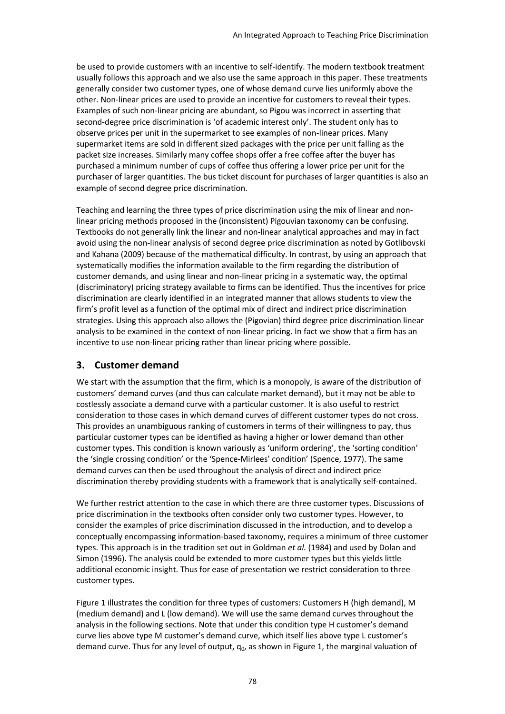be used to provide customers with an incentive to self-identify. The modern textbook treatment usually follows this approach and we also use the same approach in this paper. These treatments generally consider two customer types, one of whose demand curve lies uniformly above the other. Non-linear prices are used to provide an incentive for customers to reveal their types. Examples of such non-linear pricing are abundant, so Pigou was incorrect in asserting that second-degree price discrimination is 'of academic interest only'. The student only has to observe prices per unit in the supermarket to see examples of non-linear prices. Many supermarket items are sold in different sized packages with the price per unit falling as the packet size increases. Similarly many coffee shops offer a free coffee after the buyer has purchased a minimum number of cups of coffee thus offering a lower price per unit for the purchaser of larger quantities. The bus ticket discount for purchases of larger quantities is also an example of second degree price discrimination.

Teaching and learning the three types of price discrimination using the mix of linear and nonlinear pricing methods proposed in the (inconsistent) Pigouvian taxonomy can be confusing. Textbooks do not generally link the linear and non-linear analytical approaches and may in fact avoid using the non-linear analysis of second degree price discrimination as noted by Gotlibovski and Kahana (2009) because of the mathematical difficulty. In contrast, by using an approach that systematically modifies the information available to the firm regarding the distribution of customer demands, and using linear and non-linear pricing in a systematic way, the optimal (discriminatory) pricing strategy available to firms can be identified. Thus the incentives for price discrimination are clearly identified in an integrated manner that allows students to view the firm's profit level as a function of the optimal mix of direct and indirect price discrimination strategies. Using this approach also allows the (Pigovian) third degree price discrimination linear analysis to be examined in the context of non-linear pricing. In fact we show that a firm has an incentive to use non-linear pricing rather than linear pricing where possible.

# **3. Customer demand**

We start with the assumption that the firm, which is a monopoly, is aware of the distribution of customers' demand curves (and thus can calculate market demand), but it may not be able to costlessly associate a demand curve with a particular customer. It is also useful to restrict consideration to those cases in which demand curves of different customer types do not cross. This provides an unambiguous ranking of customers in terms of their willingness to pay, thus particular customer types can be identified as having a higher or lower demand than other customer types. This condition is known variously as 'uniform ordering', the 'sorting condition' the 'single crossing condition' or the 'Spence-Mirlees' condition' (Spence, 1977). The same demand curves can then be used throughout the analysis of direct and indirect price discrimination thereby providing students with a framework that is analytically self-contained.

We further restrict attention to the case in which there are three customer types. Discussions of price discrimination in the textbooks often consider only two customer types. However, to consider the examples of price discrimination discussed in the introduction, and to develop a conceptually encompassing information-based taxonomy, requires a minimum of three customer types. This approach is in the tradition set out in Goldman *et al.* (1984) and used by Dolan and Simon (1996). The analysis could be extended to more customer types but this yields little additional economic insight. Thus for ease of presentation we restrict consideration to three customer types.

Figure 1 illustrates the condition for three types of customers: Customers H (high demand), M (medium demand) and L (low demand). We will use the same demand curves throughout the analysis in the following sections. Note that under this condition type H customer's demand curve lies above type M customer's demand curve, which itself lies above type L customer's demand curve. Thus for any level of output,  $q_0$ , as shown in Figure 1, the marginal valuation of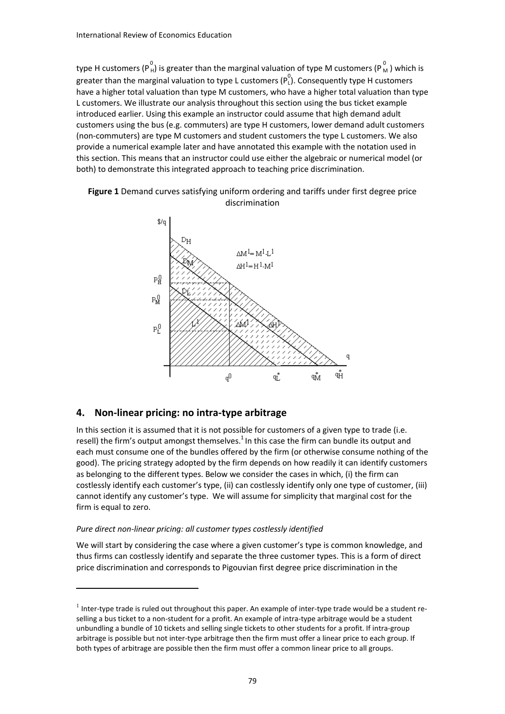type H customers (P $_{\mathsf{H}}^0$ ) is greater than the marginal valuation of type M customers (P $_{\mathsf{M}}^0$ ) which is greater than the marginal valuation to type L customers  $(P_L^0)$ . Consequently type H customers have a higher total valuation than type M customers, who have a higher total valuation than type L customers. We illustrate our analysis throughout this section using the bus ticket example introduced earlier. Using this example an instructor could assume that high demand adult customers using the bus (e.g. commuters) are type H customers, lower demand adult customers (non-commuters) are type M customers and student customers the type L customers. We also provide a numerical example later and have annotated this example with the notation used in this section. This means that an instructor could use either the algebraic or numerical model (or both) to demonstrate this integrated approach to teaching price discrimination.





# **4. Non-linear pricing: no intra-type arbitrage**

In this section it is assumed that it is not possible for customers of a given type to trade (i.e. resell) the firm's output amongst themselves.<sup>1</sup> In this case the firm can bundle its output and each must consume one of the bundles offered by the firm (or otherwise consume nothing of the good). The pricing strategy adopted by the firm depends on how readily it can identify customers as belonging to the different types. Below we consider the cases in which, (i) the firm can costlessly identify each customer's type, (ii) can costlessly identify only one type of customer, (iii) cannot identify any customer's type. We will assume for simplicity that marginal cost for the firm is equal to zero.

## *Pure direct non-linear pricing: all customer types costlessly identified*

-

We will start by considering the case where a given customer's type is common knowledge, and thus firms can costlessly identify and separate the three customer types. This is a form of direct price discrimination and corresponds to Pigouvian first degree price discrimination in the

 $<sup>1</sup>$  Inter-type trade is ruled out throughout this paper. An example of inter-type trade would be a student re-</sup> selling a bus ticket to a non-student for a profit. An example of intra-type arbitrage would be a student unbundling a bundle of 10 tickets and selling single tickets to other students for a profit. If intra-group arbitrage is possible but not inter-type arbitrage then the firm must offer a linear price to each group. If both types of arbitrage are possible then the firm must offer a common linear price to all groups.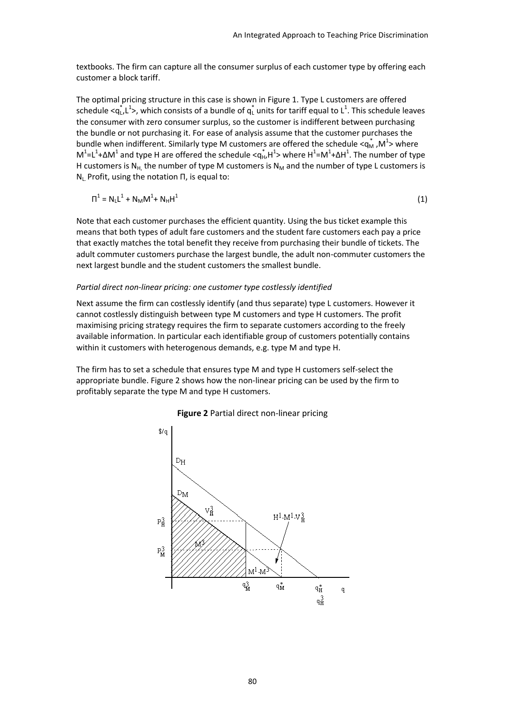textbooks. The firm can capture all the consumer surplus of each customer type by offering each customer a block tariff.

The optimal pricing structure in this case is shown in Figure 1. Type L customers are offered schedule <q<sub>ubba</sub>l  $\sim$ , which consists of a bundle of  $q_L^*$  units for tariff equal to L<sup>1</sup>. This schedule leaves the consumer with zero consumer surplus, so the customer is indifferent between purchasing the bundle or not purchasing it. For ease of analysis assume that the customer purchases the bundle when indifferent. Similarly type M customers are offered the schedule  $\leq q_M^*$ , M<sup>1</sup>> where  $M^1 = L^1 + \Delta M^1$  and type H are offered the schedule <q<sub>n</sub>, H<sup>1</sup>> where H<sup>1</sup>=M<sup>1</sup>+ΔH<sup>1</sup>. The number of type H customers is  $N_{H}$ , the number of type M customers is  $N_M$  and the number of type L customers is NL. Profit, using the notation Π, is equal to:

$$
\Pi^1 = N_L L^1 + N_M M^1 + N_H H^1
$$
 (1)

Note that each customer purchases the efficient quantity. Using the bus ticket example this means that both types of adult fare customers and the student fare customers each pay a price that exactly matches the total benefit they receive from purchasing their bundle of tickets. The adult commuter customers purchase the largest bundle, the adult non-commuter customers the next largest bundle and the student customers the smallest bundle.

#### *Partial direct non-linear pricing: one customer type costlessly identified*

Next assume the firm can costlessly identify (and thus separate) type L customers. However it cannot costlessly distinguish between type M customers and type H customers. The profit maximising pricing strategy requires the firm to separate customers according to the freely available information. In particular each identifiable group of customers potentially contains within it customers with heterogenous demands, e.g. type M and type H.

The firm has to set a schedule that ensures type M and type H customers self-select the appropriate bundle. Figure 2 shows how the non-linear pricing can be used by the firm to profitably separate the type M and type H customers.



**Figure 2** Partial direct non-linear pricing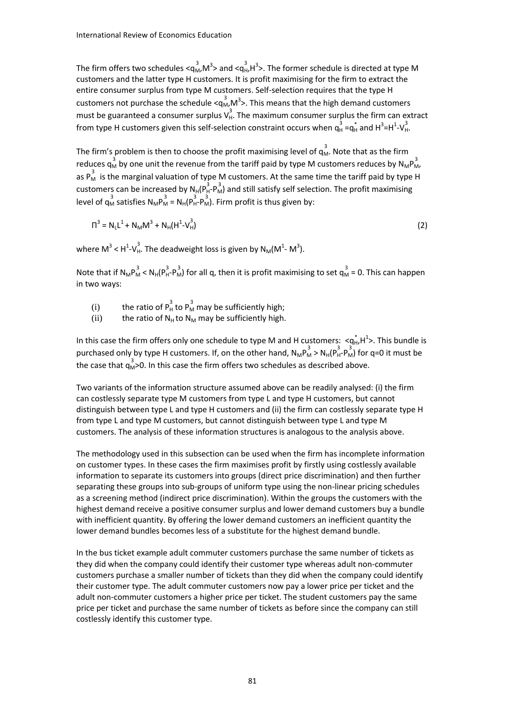The firm offers two schedules  $\lt q^3_{\mathsf{M}}$ , M<sup>3</sup>> and  $\lt q^3_{\mathsf{H}}$ , H<sup>3</sup>>. The former schedule is directed at type M customers and the latter type H customers. It is profit maximising for the firm to extract the entire consumer surplus from type M customers. Self-selection requires that the type H customers not purchase the schedule  $\langle q_M^3, M^3 \rangle$ . This means that the high demand customers must be guaranteed a consumer surplus  $V_H^3$ . The maximum consumer surplus the firm can extract from type H customers given this self-selection constraint occurs when  $q_H^3 = q_H^*$  and  $H^3 = H^1-V_H^3$ .

The firm's problem is then to choose the profit maximising level of  $q_M^3$ . Note that as the firm reduces  $q_M^3$  by one unit the revenue from the tariff paid by type M customers reduces by  $N_M P_M^3$ as  $P_M^3$  is the marginal valuation of type M customers. At the same time the tariff paid by type H customers can be increased by  $N_H(P_H^3-P_M^3)$  and still satisfy self selection. The profit maximising level of  $q_M^3$  satisfies  $N_M P_M^3 = N_H (P_H^3-P_M^3)$ . Firm profit is thus given by:

$$
\Pi^3 = N_L L^1 + N_M M^3 + N_H (H^1 - V_H^3)
$$
 (2)

where  $M^3 < H^1$ - $V_H^3$ . The deadweight loss is given by  $N_M(M^1$ - $M^3)$ .

Note that if  $N_M P_M^3$  <  $N_H (P_H^3-P_M^3)$  for all q, then it is profit maximising to set  $q_M^3$  = 0. This can happen in two ways:

- (i) the ratio of  $P_H^3$  to  $P_M^3$  may be sufficiently high;
- (ii) the ratio of  $N_H$  to  $N_M$  may be sufficiently high.

In this case the firm offers only one schedule to type M and H customers:  $\langle q_H^*, H^1 \rangle$ . This bundle is purchased only by type H customers. If, on the other hand,  $N_M P_M^3 > N_H (P_H^3 - P_M^3)$  for q=0 it must be the case that  $q_M^3$ >0. In this case the firm offers two schedules as described above.

Two variants of the information structure assumed above can be readily analysed: (i) the firm can costlessly separate type M customers from type L and type H customers, but cannot distinguish between type L and type H customers and (ii) the firm can costlessly separate type H from type L and type M customers, but cannot distinguish between type L and type M customers. The analysis of these information structures is analogous to the analysis above.

The methodology used in this subsection can be used when the firm has incomplete information on customer types. In these cases the firm maximises profit by firstly using costlessly available information to separate its customers into groups (direct price discrimination) and then further separating these groups into sub-groups of uniform type using the non-linear pricing schedules as a screening method (indirect price discrimination). Within the groups the customers with the highest demand receive a positive consumer surplus and lower demand customers buy a bundle with inefficient quantity. By offering the lower demand customers an inefficient quantity the lower demand bundles becomes less of a substitute for the highest demand bundle.

In the bus ticket example adult commuter customers purchase the same number of tickets as they did when the company could identify their customer type whereas adult non-commuter customers purchase a smaller number of tickets than they did when the company could identify their customer type. The adult commuter customers now pay a lower price per ticket and the adult non-commuter customers a higher price per ticket. The student customers pay the same price per ticket and purchase the same number of tickets as before since the company can still costlessly identify this customer type.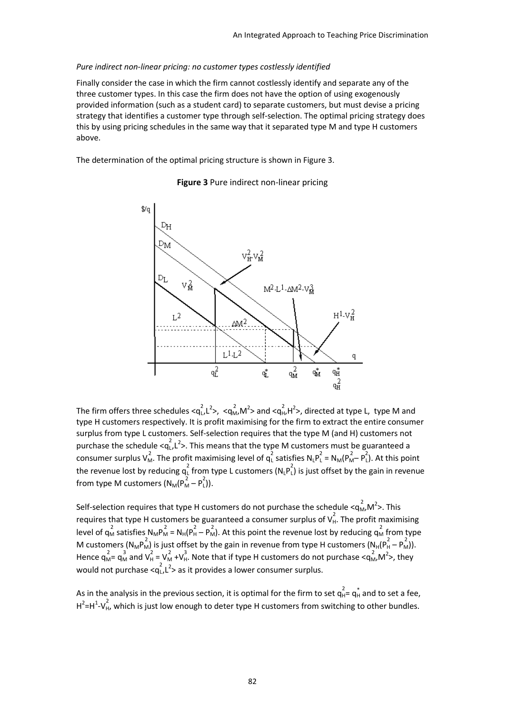#### *Pure indirect non-linear pricing: no customer types costlessly identified*

Finally consider the case in which the firm cannot costlessly identify and separate any of the three customer types. In this case the firm does not have the option of using exogenously provided information (such as a student card) to separate customers, but must devise a pricing strategy that identifies a customer type through self-selection. The optimal pricing strategy does this by using pricing schedules in the same way that it separated type M and type H customers above.

The determination of the optimal pricing structure is shown in Figure 3.



#### **Figure 3** Pure indirect non-linear pricing

The firm offers three schedules  $<\mathbf{q}_L^2$  $L<sup>2</sup>$ ,  $<$  q<sub>M</sub>,M<sup>2</sup> > and <q<sub>H</sub>,H<sup>2</sup> >, directed at type L, type M and type H customers respectively. It is profit maximising for the firm to extract the entire consumer surplus from type L customers. Self-selection requires that the type M (and H) customers not purchase the schedule  $\langle q_L^2, L^2 \rangle$ . This means that the type M customers must be guaranteed a consumer surplus V<sub>M</sub>. The profit maximising level of  $q_L^2$  satisfies  $N_L P_L^2 = N_M (P_M^2 - P_L^2)$ . At this point the revenue lost by reducing  $q_L^2$  from type L customers (N<sub>L</sub>P<sub>L</sub>) is just offset by the gain in revenue from type M customers  $(N_M(P_M^2-P_L^2))$ .

Self-selection requires that type H customers do not purchase the schedule  $\langle q_M^2, M^2 \rangle$ . This requires that type H customers be guaranteed a consumer surplus of  $V_H^2$ . The profit maximising level of  $q_M^2$  satisfies  $N_M P_M^2 = N_H (P_H^2 - P_M^2)$ . At this point the revenue lost by reducing  $q_M^2$  from type M customers ( $N_M P_M^2$ ) is just offset by the gain in revenue from type H customers ( $N_H (P_H^2 - P_M^2)$ ). Hence  $q_M^2 = q_M^3$  and  $V_H^2 = V_M^2 + V_H^3$ . Note that if type H customers do not purchase  $\langle q_M^2, M^2 \rangle$ , they would not purchase  $\langle q_L^2, L^2 \rangle$  as it provides a lower consumer surplus.

As in the analysis in the previous section, it is optimal for the firm to set  $q_H^2 = q_H^*$  and to set a fee,  $H^2=H^1-V_H^2$ , which is just low enough to deter type H customers from switching to other bundles.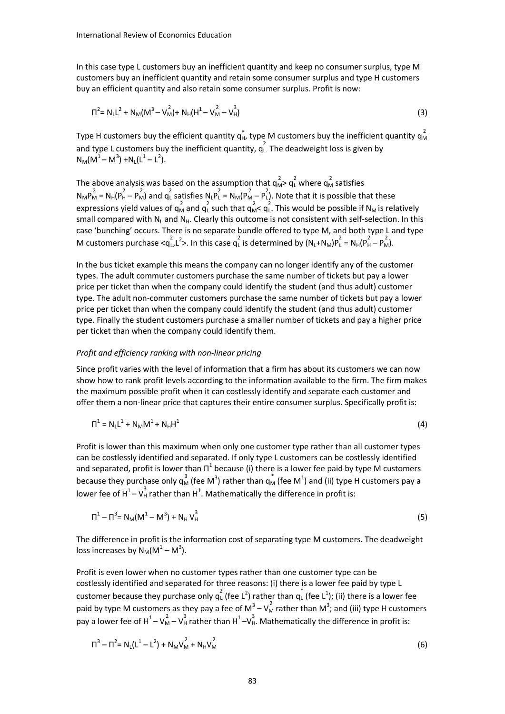In this case type L customers buy an inefficient quantity and keep no consumer surplus, type M customers buy an inefficient quantity and retain some consumer surplus and type H customers buy an efficient quantity and also retain some consumer surplus. Profit is now:

$$
\Pi^2 = N_L L^2 + N_M (M^3 - V_M^2) + N_H (H^1 - V_M^2 - V_H^3)
$$
\n(3)

Type H customers buy the efficient quantity  $q_{\text{H}}^*$ , type M customers buy the inefficient quantity  $q_{\text{M}}^2$ and type L customers buy the inefficient quantity,  $q_L^2$  The deadweight loss is given by  $N_M(M^1 - M^3) + N_L(L^1 - L^2)$ .

The above analysis was based on the assumption that  $q_M^2 > q_L^2$  where  $q_M^2$  satisfies  $N_M P_M^2 = N_H (P_H^2 - P_M^2)$  and  $q_L^2$  satisfies  $N_L P_L^2 = N_M (P_M^2 - P_L^2)$ . Note that it is possible that these expressions yield values of  $q_M^2$  and  $q_L^2$  such that  $q_M^2$   $q_L^2$  $\overline{L}$ . This would be possible if N<sub>M</sub> is relatively small compared with  $N_L$  and  $N_H$ . Clearly this outcome is not consistent with self-selection. In this case 'bunching' occurs. There is no separate bundle offered to type M, and both type L and type M customers purchase <q'<sub>L</sub>, L<sup>2</sup>>. In this case q'<sub>L</sub> is determined by  $(N_L+N_M)P_L^2 = N_H(P_H^2 - P_M^2)$ .

In the bus ticket example this means the company can no longer identify any of the customer types. The adult commuter customers purchase the same number of tickets but pay a lower price per ticket than when the company could identify the student (and thus adult) customer type. The adult non-commuter customers purchase the same number of tickets but pay a lower price per ticket than when the company could identify the student (and thus adult) customer type. Finally the student customers purchase a smaller number of tickets and pay a higher price per ticket than when the company could identify them.

## *Profit and efficiency ranking with non-linear pricing*

Since profit varies with the level of information that a firm has about its customers we can now show how to rank profit levels according to the information available to the firm. The firm makes the maximum possible profit when it can costlessly identify and separate each customer and offer them a non-linear price that captures their entire consumer surplus. Specifically profit is:

$$
\Pi^1 = N_L L^1 + N_M M^1 + N_H H^1
$$
 (4)

Profit is lower than this maximum when only one customer type rather than all customer types can be costlessly identified and separated. If only type L customers can be costlessly identified and separated, profit is lower than  $\Pi^1$  because (i) there is a lower fee paid by type M customers because they purchase only  $q_M^3$  (fee M<sup>3</sup>) rather than  $q_M^*$  (fee M<sup>1</sup>) and (ii) type H customers pay a lower fee of  $H^1 - V_H^3$  rather than  $H^1$ . Mathematically the difference in profit is:

$$
\Pi^1 - \Pi^3 = N_M (M^1 - M^3) + N_H V_H^3
$$
\n(5)

The difference in profit is the information cost of separating type M customers. The deadweight loss increases by  $N_M(M^1 - M^3)$ .

Profit is even lower when no customer types rather than one customer type can be costlessly identified and separated for three reasons: (i) there is a lower fee paid by type L customer because they purchase only  $q_L^2$  (fee L<sup>2</sup>) rather than  $q_L^*$  (fee L<sup>1</sup>); (ii) there is a lower fee paid by type M customers as they pay a fee of  $M^3 - V_M^2$  rather than  $M^3$ ; and (iii) type H customers pay a lower fee of  $H^1 - V_M^2 - V_H^3$  rather than  $H^1 - V_H^3$ . Mathematically the difference in profit is:

$$
\Pi^3 - \Pi^2 = N_L (L^1 - L^2) + N_M V_M^2 + N_H V_M^2
$$
\n(6)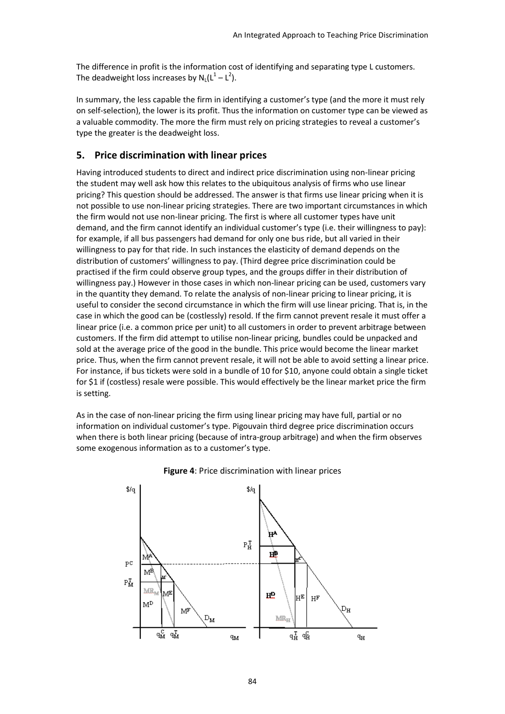The difference in profit is the information cost of identifying and separating type L customers. The deadweight loss increases by  $N_L(L^1-L^2)$ .

In summary, the less capable the firm in identifying a customer's type (and the more it must rely on self-selection), the lower is its profit. Thus the information on customer type can be viewed as a valuable commodity. The more the firm must rely on pricing strategies to reveal a customer's type the greater is the deadweight loss.

# **5. Price discrimination with linear prices**

Having introduced students to direct and indirect price discrimination using non-linear pricing the student may well ask how this relates to the ubiquitous analysis of firms who use linear pricing? This question should be addressed. The answer is that firms use linear pricing when it is not possible to use non-linear pricing strategies. There are two important circumstances in which the firm would not use non-linear pricing. The first is where all customer types have unit demand, and the firm cannot identify an individual customer's type (i.e. their willingness to pay): for example, if all bus passengers had demand for only one bus ride, but all varied in their willingness to pay for that ride. In such instances the elasticity of demand depends on the distribution of customers' willingness to pay. (Third degree price discrimination could be practised if the firm could observe group types, and the groups differ in their distribution of willingness pay.) However in those cases in which non-linear pricing can be used, customers vary in the quantity they demand. To relate the analysis of non-linear pricing to linear pricing, it is useful to consider the second circumstance in which the firm will use linear pricing. That is, in the case in which the good can be (costlessly) resold. If the firm cannot prevent resale it must offer a linear price (i.e. a common price per unit) to all customers in order to prevent arbitrage between customers. If the firm did attempt to utilise non-linear pricing, bundles could be unpacked and sold at the average price of the good in the bundle. This price would become the linear market price. Thus, when the firm cannot prevent resale, it will not be able to avoid setting a linear price. For instance, if bus tickets were sold in a bundle of 10 for \$10, anyone could obtain a single ticket for \$1 if (costless) resale were possible. This would effectively be the linear market price the firm is setting.

As in the case of non-linear pricing the firm using linear pricing may have full, partial or no information on individual customer's type. Pigouvain third degree price discrimination occurs when there is both linear pricing (because of intra-group arbitrage) and when the firm observes some exogenous information as to a customer's type.



**Figure 4**: Price discrimination with linear prices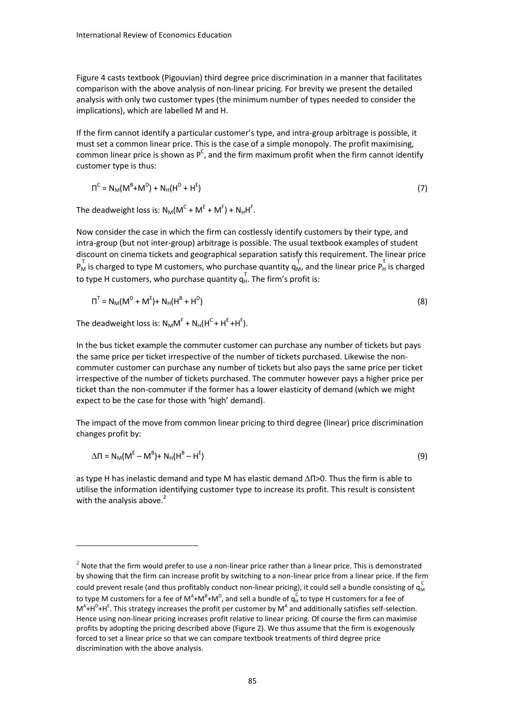Figure 4 casts textbook (Pigouvian) third degree price discrimination in a manner that facilitates comparison with the above analysis of non-linear pricing. For brevity we present the detailed analysis with only two customer types (the minimum number of types needed to consider the implications), which are labelled M and H.

If the firm cannot identify a particular customer's type, and intra-group arbitrage is possible, it must set a common linear price. This is the case of a simple monopoly. The profit maximising, common linear price is shown as  $P^C$ , and the firm maximum profit when the firm cannot identify customer type is thus:

$$
\Pi^{C} = N_{M}(M^{B} + M^{D}) + N_{H}(H^{D} + H^{E})
$$
\n(7)

The deadweight loss is:  $N_M(M^C + M^E + M^F) + N_HH^F$ .

Now consider the case in which the firm can costlessly identify customers by their type, and intra-group (but not inter-group) arbitrage is possible. The usual textbook examples of student discount on cinema tickets and geographical separation satisfy this requirement. The linear price  $P_M^T$  is charged to type M customers, who purchase quantity  $q_M^T$ , and the linear price  $P_H^T$  is charged to type H customers, who purchase quantity  $q_H^T$ . The firm's profit is:

$$
\Pi^{T} = N_{M}(M^{D} + M^{E}) + N_{H}(H^{B} + H^{D})
$$
\n(8)

The deadweight loss is:  $N_MM^F + N_H(H^C + H^E + H^F)$ .

-

In the bus ticket example the commuter customer can purchase any number of tickets but pays the same price per ticket irrespective of the number of tickets purchased. Likewise the noncommuter customer can purchase any number of tickets but also pays the same price per ticket irrespective of the number of tickets purchased. The commuter however pays a higher price per ticket than the non-commuter if the former has a lower elasticity of demand (which we might expect to be the case for those with 'high' demand).

The impact of the move from common linear pricing to third degree (linear) price discrimination changes profit by:

$$
\Delta \Pi = N_M (M^E - M^B) + N_H (H^B - H^E)
$$
\n<sup>(9)</sup>

as type H has inelastic demand and type M has elastic demand ΔΠ>0. Thus the firm is able to utilise the information identifying customer type to increase its profit. This result is consistent with the analysis above.<sup>2</sup>

 $2$  Note that the firm would prefer to use a non-linear price rather than a linear price. This is demonstrated by showing that the firm can increase profit by switching to a non-linear price from a linear price. If the firm could prevent resale (and thus profitably conduct non-linear pricing), it could sell a bundle consisting of  $q_w^{\text{C}}$ M to type M customers for a fee of  $M^A + M^B + M^D$ , and sell a bundle of  $q_H^C$  to type H customers for a fee of  $M^A + H^D + H^E$ . This strategy increases the profit per customer by  $M^A$  and additionally satisfies self-selection. Hence using non-linear pricing increases profit relative to linear pricing. Of course the firm can maximise profits by adopting the pricing described above (Figure 2). We thus assume that the firm is exogenously forced to set a linear price so that we can compare textbook treatments of third degree price discrimination with the above analysis.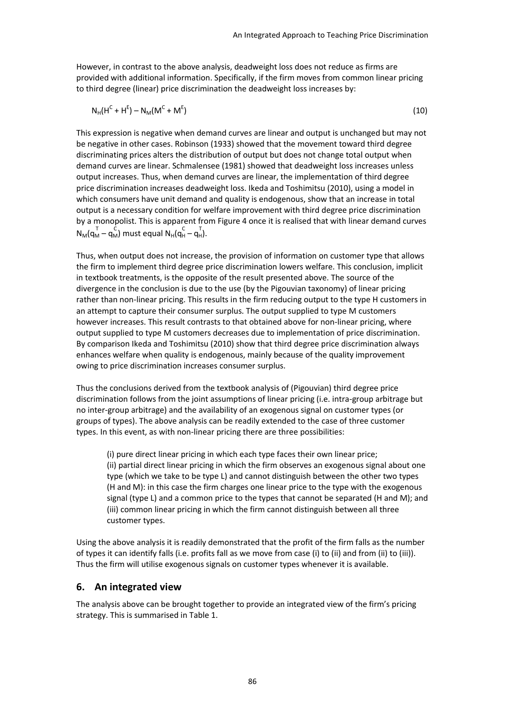However, in contrast to the above analysis, deadweight loss does not reduce as firms are provided with additional information. Specifically, if the firm moves from common linear pricing to third degree (linear) price discrimination the deadweight loss increases by:

$$
N_H(H^C + H^E) - N_M(M^C + M^E)
$$
 (10)

This expression is negative when demand curves are linear and output is unchanged but may not be negative in other cases. Robinson (1933) showed that the movement toward third degree discriminating prices alters the distribution of output but does not change total output when demand curves are linear. Schmalensee (1981) showed that deadweight loss increases unless output increases. Thus, when demand curves are linear, the implementation of third degree price discrimination increases deadweight loss. Ikeda and Toshimitsu (2010), using a model in which consumers have unit demand and quality is endogenous, show that an increase in total output is a necessary condition for welfare improvement with third degree price discrimination by a monopolist. This is apparent from Figure 4 once it is realised that with linear demand curves  $N_M(q_M^T - q_M^C)$  must equal  $N_H(q_H^C - q_H^T)$ .

Thus, when output does not increase, the provision of information on customer type that allows the firm to implement third degree price discrimination lowers welfare. This conclusion, implicit in textbook treatments, is the opposite of the result presented above. The source of the divergence in the conclusion is due to the use (by the Pigouvian taxonomy) of linear pricing rather than non-linear pricing. This results in the firm reducing output to the type H customers in an attempt to capture their consumer surplus. The output supplied to type M customers however increases. This result contrasts to that obtained above for non-linear pricing, where output supplied to type M customers decreases due to implementation of price discrimination. By comparison Ikeda and Toshimitsu (2010) show that third degree price discrimination always enhances welfare when quality is endogenous, mainly because of the quality improvement owing to price discrimination increases consumer surplus.

Thus the conclusions derived from the textbook analysis of (Pigouvian) third degree price discrimination follows from the joint assumptions of linear pricing (i.e. intra-group arbitrage but no inter-group arbitrage) and the availability of an exogenous signal on customer types (or groups of types). The above analysis can be readily extended to the case of three customer types. In this event, as with non-linear pricing there are three possibilities:

(i) pure direct linear pricing in which each type faces their own linear price; (ii) partial direct linear pricing in which the firm observes an exogenous signal about one type (which we take to be type L) and cannot distinguish between the other two types (H and M): in this case the firm charges one linear price to the type with the exogenous signal (type L) and a common price to the types that cannot be separated (H and M); and (iii) common linear pricing in which the firm cannot distinguish between all three customer types.

Using the above analysis it is readily demonstrated that the profit of the firm falls as the number of types it can identify falls (i.e. profits fall as we move from case (i) to (ii) and from (ii) to (iii)). Thus the firm will utilise exogenous signals on customer types whenever it is available.

# **6. An integrated view**

The analysis above can be brought together to provide an integrated view of the firm's pricing strategy. This is summarised in Table 1.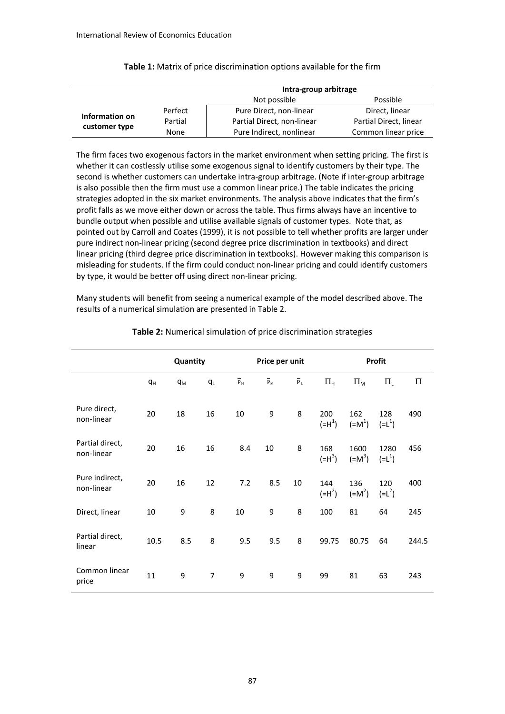|                                 |         | Intra-group arbitrage      |                        |  |  |  |
|---------------------------------|---------|----------------------------|------------------------|--|--|--|
|                                 |         | Not possible               | Possible               |  |  |  |
| Information on<br>customer type | Perfect | Pure Direct, non-linear    | Direct, linear         |  |  |  |
|                                 | Partial | Partial Direct, non-linear | Partial Direct, linear |  |  |  |
|                                 | None    | Pure Indirect, nonlinear   | Common linear price    |  |  |  |

#### **Table 1:** Matrix of price discrimination options available for the firm

The firm faces two exogenous factors in the market environment when setting pricing. The first is whether it can costlessly utilise some exogenous signal to identify customers by their type. The second is whether customers can undertake intra-group arbitrage. (Note if inter-group arbitrage is also possible then the firm must use a common linear price.) The table indicates the pricing strategies adopted in the six market environments. The analysis above indicates that the firm's profit falls as we move either down or across the table. Thus firms always have an incentive to bundle output when possible and utilise available signals of customer types. Note that, as pointed out by Carroll and Coates (1999), it is not possible to tell whether profits are larger under pure indirect non-linear pricing (second degree price discrimination in textbooks) and direct linear pricing (third degree price discrimination in textbooks). However making this comparison is misleading for students. If the firm could conduct non-linear pricing and could identify customers by type, it would be better off using direct non-linear pricing.

Many students will benefit from seeing a numerical example of the model described above. The results of a numerical simulation are presented in Table 2.

|                               | Quantity |       |                |                                   | Price per unit    |                               | <b>Profit</b>   |                  |                          |       |
|-------------------------------|----------|-------|----------------|-----------------------------------|-------------------|-------------------------------|-----------------|------------------|--------------------------|-------|
|                               | $q_H$    | $q_M$ | $q_L$          | $\bar{\bar{\mathbf{p}}}_\text{H}$ | $\bar{\bar{P}}_M$ | $\bar{\mathbf{p}}_{\text{L}}$ | $\Pi_{\rm H}$   | $\Pi_{M}$        | $\Pi_{\mathsf{L}}$       | П     |
| Pure direct,<br>non-linear    | 20       | 18    | 16             | 10                                | 9                 | 8                             | 200<br>$(=H^1)$ | 162<br>$(=M^1)$  | 128<br>$(=\mathsf{L}^1)$ | 490   |
| Partial direct,<br>non-linear | 20       | 16    | 16             | 8.4                               | 10                | 8                             | 168<br>$(=H^3)$ | 1600<br>$(=M^3)$ | 1280<br>$(=L^1)$         | 456   |
| Pure indirect,<br>non-linear  | 20       | 16    | 12             | 7.2                               | 8.5               | 10                            | 144<br>$(=H^2)$ | 136<br>$(=M^2)$  | 120<br>$(=L^2)$          | 400   |
| Direct, linear                | 10       | 9     | 8              | 10                                | 9                 | 8                             | 100             | 81               | 64                       | 245   |
| Partial direct,<br>linear     | 10.5     | 8.5   | 8              | 9.5                               | 9.5               | 8                             | 99.75           | 80.75            | 64                       | 244.5 |
| Common linear<br>price        | 11       | 9     | $\overline{7}$ | 9                                 | 9                 | 9                             | 99              | 81               | 63                       | 243   |

### **Table 2:** Numerical simulation of price discrimination strategies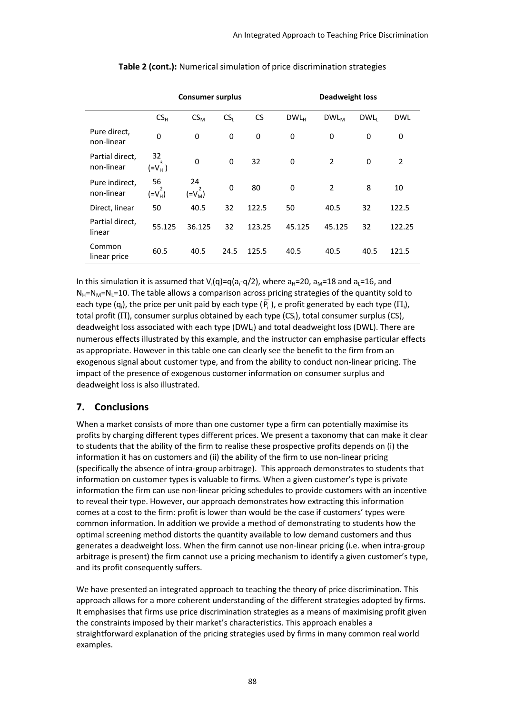|                               | <b>Consumer surplus</b>  |                  |                 |           | <b>Deadweight loss</b> |                         |            |            |  |
|-------------------------------|--------------------------|------------------|-----------------|-----------|------------------------|-------------------------|------------|------------|--|
|                               | $CS_{H}$                 | $CS_{M}$         | CS <sub>L</sub> | <b>CS</b> | <b>DWL</b>             | <b>DWL</b> <sub>M</sub> | <b>DWL</b> | <b>DWL</b> |  |
| Pure direct,<br>non-linear    | $\mathbf 0$              | $\mathbf 0$      | $\mathbf 0$     | 0         | 0                      | 0                       | 0          | 0          |  |
| Partial direct,<br>non-linear | 32<br>$(=V_{H}^{r})$     | $\mathbf 0$      | $\mathbf 0$     | 32        | 0                      | $\overline{2}$          | 0          | 2          |  |
| Pure indirect,<br>non-linear  | 56<br>(=V <sub>H</sub> ) | 24<br>$(=V_{M})$ | 0               | 80        | 0                      | $\overline{2}$          | 8          | 10         |  |
| Direct, linear                | 50                       | 40.5             | 32              | 122.5     | 50                     | 40.5                    | 32         | 122.5      |  |
| Partial direct,<br>linear     | 55.125                   | 36.125           | 32              | 123.25    | 45.125                 | 45.125                  | 32         | 122.25     |  |
| Common<br>linear price        | 60.5                     | 40.5             | 24.5            | 125.5     | 40.5                   | 40.5                    | 40.5       | 121.5      |  |

**Table 2 (cont.):** Numerical simulation of price discrimination strategies

In this simulation it is assumed that  $V_i(q)=q(a_i-q/2)$ , where  $a_H=20$ ,  $a_M=18$  and  $a_L=16$ , and  $N_H=N_M=N_1=10$ . The table allows a comparison across pricing strategies of the quantity sold to each type (q<sub>i</sub>), the price per unit paid by each type ( $P_i$ ), e profit generated by each type ( $\Pi_i$ ), total profit ( $\Pi$ ), consumer surplus obtained by each type ( $CS_i$ ), total consumer surplus (CS), deadweight loss associated with each type (DWL<sub>i</sub>) and total deadweight loss (DWL). There are numerous effects illustrated by this example, and the instructor can emphasise particular effects as appropriate. However in this table one can clearly see the benefit to the firm from an exogenous signal about customer type, and from the ability to conduct non-linear pricing. The impact of the presence of exogenous customer information on consumer surplus and deadweight loss is also illustrated.

# **7. Conclusions**

When a market consists of more than one customer type a firm can potentially maximise its profits by charging different types different prices. We present a taxonomy that can make it clear to students that the ability of the firm to realise these prospective profits depends on (i) the information it has on customers and (ii) the ability of the firm to use non-linear pricing (specifically the absence of intra-group arbitrage). This approach demonstrates to students that information on customer types is valuable to firms. When a given customer's type is private information the firm can use non-linear pricing schedules to provide customers with an incentive to reveal their type. However, our approach demonstrates how extracting this information comes at a cost to the firm: profit is lower than would be the case if customers' types were common information. In addition we provide a method of demonstrating to students how the optimal screening method distorts the quantity available to low demand customers and thus generates a deadweight loss. When the firm cannot use non-linear pricing (i.e. when intra-group arbitrage is present) the firm cannot use a pricing mechanism to identify a given customer's type, and its profit consequently suffers.

We have presented an integrated approach to teaching the theory of price discrimination. This approach allows for a more coherent understanding of the different strategies adopted by firms. It emphasises that firms use price discrimination strategies as a means of maximising profit given the constraints imposed by their market's characteristics. This approach enables a straightforward explanation of the pricing strategies used by firms in many common real world examples.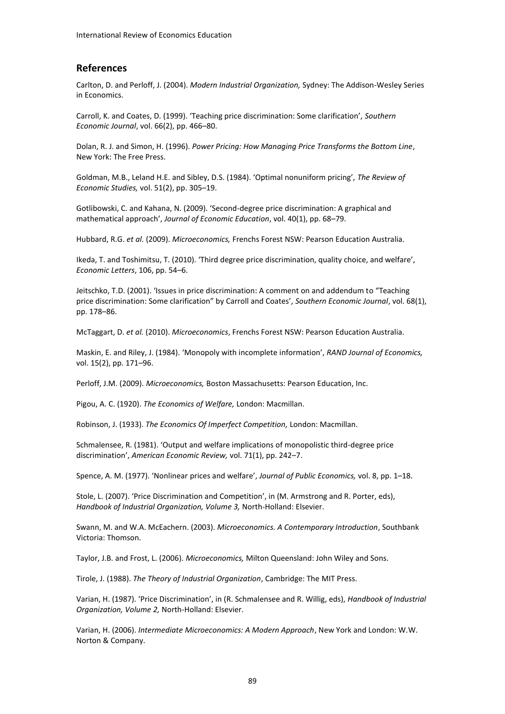## **References**

Carlton, D. and Perloff, J. (2004). *Modern Industrial Organization,* Sydney: The Addison-Wesley Series in Economics.

Carroll, K. and Coates, D. (1999). 'Teaching price discrimination: Some clarification', *Southern Economic Journal*, vol. 66(2), pp. 466–80.

Dolan, R. J. and Simon, H. (1996). *Power Pricing: How Managing Price Transforms the Bottom Line*, New York: The Free Press.

Goldman, M.B., Leland H.E. and Sibley, D.S. (1984). 'Optimal nonuniform pricing', *The Review of Economic Studies,* vol. 51(2), pp. 305–19.

Gotlibowski, C. and Kahana, N. (2009). 'Second-degree price discrimination: A graphical and mathematical approach', *Journal of Economic Education*, vol. 40(1), pp. 68–79.

Hubbard, R.G. *et al.* (2009). *Microeconomics,* Frenchs Forest NSW: Pearson Education Australia.

Ikeda, T. and Toshimitsu, T. (2010). 'Third degree price discrimination, quality choice, and welfare', *Economic Letters*, 106, pp. 54–6.

Jeitschko, T.D. (2001). 'Issues in price discrimination: A comment on and addendum to "Teaching price discrimination: Some clarification" by Carroll and Coates', *Southern Economic Journal*, vol. 68(1), pp. 178–86.

McTaggart, D. *et al.* (2010). *Microeconomics*, Frenchs Forest NSW: Pearson Education Australia.

Maskin, E. and Riley, J. (1984). 'Monopoly with incomplete information', *RAND Journal of Economics,* vol. 15(2), pp. 171–96.

Perloff, J.M. (2009). *Microeconomics,* Boston Massachusetts: Pearson Education, Inc.

Pigou, A. C. (1920). *The Economics of Welfare,* London: Macmillan.

Robinson, J. (1933). *The Economics Of Imperfect Competition,* London: Macmillan.

Schmalensee, R. (1981). 'Output and welfare implications of monopolistic third-degree price discrimination', *American Economic Review,* vol. 71(1), pp. 242–7.

Spence, A. M. (1977). 'Nonlinear prices and welfare', *Journal of Public Economics,* vol. 8, pp. 1–18.

Stole, L. (2007). 'Price Discrimination and Competition', in (M. Armstrong and R. Porter, eds), *Handbook of Industrial Organization, Volume 3,* North-Holland: Elsevier.

Swann, M. and W.A. McEachern. (2003). *Microeconomics. A Contemporary Introduction*, Southbank Victoria: Thomson.

Taylor, J.B. and Frost, L. (2006). *Microeconomics,* Milton Queensland: John Wiley and Sons.

Tirole, J. (1988). *The Theory of Industrial Organization*, Cambridge: The MIT Press.

Varian, H. (1987). 'Price Discrimination', in (R. Schmalensee and R. Willig, eds), *Handbook of Industrial Organization, Volume 2,* North-Holland: Elsevier.

Varian, H. (2006). *Intermediate Microeconomics: A Modern Approach*, New York and London: W.W. Norton & Company.